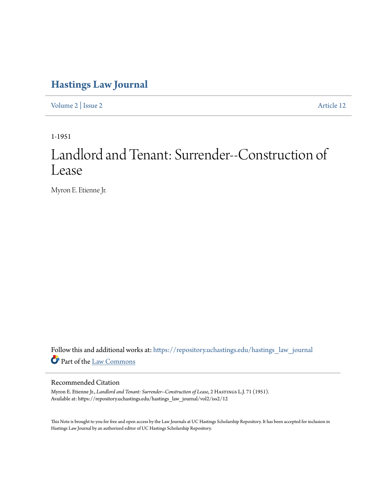## **[Hastings Law Journal](https://repository.uchastings.edu/hastings_law_journal?utm_source=repository.uchastings.edu%2Fhastings_law_journal%2Fvol2%2Fiss2%2F12&utm_medium=PDF&utm_campaign=PDFCoverPages)**

[Volume 2](https://repository.uchastings.edu/hastings_law_journal/vol2?utm_source=repository.uchastings.edu%2Fhastings_law_journal%2Fvol2%2Fiss2%2F12&utm_medium=PDF&utm_campaign=PDFCoverPages) | [Issue 2](https://repository.uchastings.edu/hastings_law_journal/vol2/iss2?utm_source=repository.uchastings.edu%2Fhastings_law_journal%2Fvol2%2Fiss2%2F12&utm_medium=PDF&utm_campaign=PDFCoverPages) [Article 12](https://repository.uchastings.edu/hastings_law_journal/vol2/iss2/12?utm_source=repository.uchastings.edu%2Fhastings_law_journal%2Fvol2%2Fiss2%2F12&utm_medium=PDF&utm_campaign=PDFCoverPages)

1-1951

## Landlord and Tenant: Surrender--Construction of Lease

Myron E. Etienne Jr.

Follow this and additional works at: [https://repository.uchastings.edu/hastings\\_law\\_journal](https://repository.uchastings.edu/hastings_law_journal?utm_source=repository.uchastings.edu%2Fhastings_law_journal%2Fvol2%2Fiss2%2F12&utm_medium=PDF&utm_campaign=PDFCoverPages) Part of the [Law Commons](http://network.bepress.com/hgg/discipline/578?utm_source=repository.uchastings.edu%2Fhastings_law_journal%2Fvol2%2Fiss2%2F12&utm_medium=PDF&utm_campaign=PDFCoverPages)

## Recommended Citation

Myron E. Etienne Jr., *Landlord and Tenant: Surrender--Construction of Lease*, 2 HASTINGS L.J. 71 (1951). Available at: https://repository.uchastings.edu/hastings\_law\_journal/vol2/iss2/12

This Note is brought to you for free and open access by the Law Journals at UC Hastings Scholarship Repository. It has been accepted for inclusion in Hastings Law Journal by an authorized editor of UC Hastings Scholarship Repository.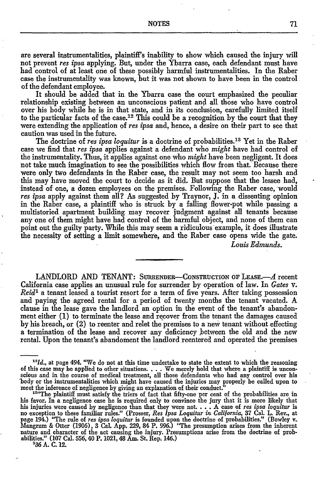are several instrumentalities, plaintiff's inability to show which caused the injury will not prevent *res ipsa* applying. But, under the Ybarra case, each defendant must have had control of at least one of these possibly harmful instrumentalities. In the Raber case the instrumentality was known, but it was not shown to have been in the control of the defendant employee.

It should be added that in the Ybarra case the court emphasized the peculiar relationship existing between an unconscious patient and all those who have control over his body while he is in that state, and in its conclusion, carefully limited itself to the particular facts of the case.<sup>12</sup> This could be a recognition by the court that they were extending the application of *res ipsa* and, hence, a desire on their part to see that caution was used in the future.

The doctrine of *res ipsa loquitur* is a doctrine of probabilities.<sup>13</sup> Yet in the Raber case we find that *res ipsa* applies against a defendant who *might* have had control of the instrumentality. Thus, it applies against one who *might* have been negligent. It does not take much imagination to see the possibilities which flow from that. Because there were only two defendants in the Raber case, the result may not seem too harsh and this may have moved the court to decide as it did. But suppose that the lessee had, instead of one, a dozen employees on the premises. Following the Raber case, would *res ipsa* apply against them all? As suggested by Traynor, J. in a dissenting opinion in the Raber case, a plaintiff who is struck by a falling flower-pot while passing a multistoried apartment building may recover judgment against all tenants because any one of them might have had control of the harmful object, and none of them can point out the guilty party. While this may seem a ridiculous-example, it does illustrate e necessity of setting a limit somewhere, and the Raber case opens wide the gate. *Louis Edmunds.*

LANDLORD AND TENANT: SURRENDER-CONSTRUCTION OF LEASE.-A recent California case applies an unusual rule for surrender by operation of law. In *Gates v. Reid'* a tenant leased a tourist resort for a term of five years. After taking possession and paying the agreed rental for a period of twenty months the tenant vacated. A clause in the lease gave the landlord an option in the event of the tenant's abandonment either (1) to terminate the lease and recover from the tenant the damages caused by his breach, or (2) to reenter and relet the premises to a new tenant without effecting a termination of the lease and recover any deficiency between the old and the new rental. Upon the tenant's abandoment the landlord reentered and operated the premises

<sup>&</sup>lt;sup>12</sup>Id., at page 494. "We do not at this time undertake to state the extent to which the reasoning of this case may be applied to other situations.  $\ldots$  We merely hold that where a plaintiff is unconscious and in the cou 'body or the instrumentalities which might have caused the injuries may properly be called upon to meet the inference of negligence by giving an explanation of their conduct.<sup>3</sup>

<sup>&</sup>lt;sup>1344</sup>The plaintiff must satisfy the triers of fact that fifty-one per cent of the probabilities are in his favor. In a negligence case he is required only to convince the jury that it is more likely that his injuries were caused by negligence than that they were not. ... A case of *res ipsa loquitur* is no exception to these familiar rules." (Prosser, *Res Ipsa Loquitur in California,* 37 Cal. L. Rev., at page 194.) "The rule of *res ipsa loquitur* is founded upon the doctrine of probabilities:' (Bowley v. Mangram & Otter (1906), 3 Cal. App. 229, 84 P. 996.) "The presumption arises from the inherent nature and character of the act causing the injury. Presumptions arise from the doctrine of prob-<br>abilities." (107 Cal. 556, 40 P. 1021, 48 Am. St. Rep. 146.)